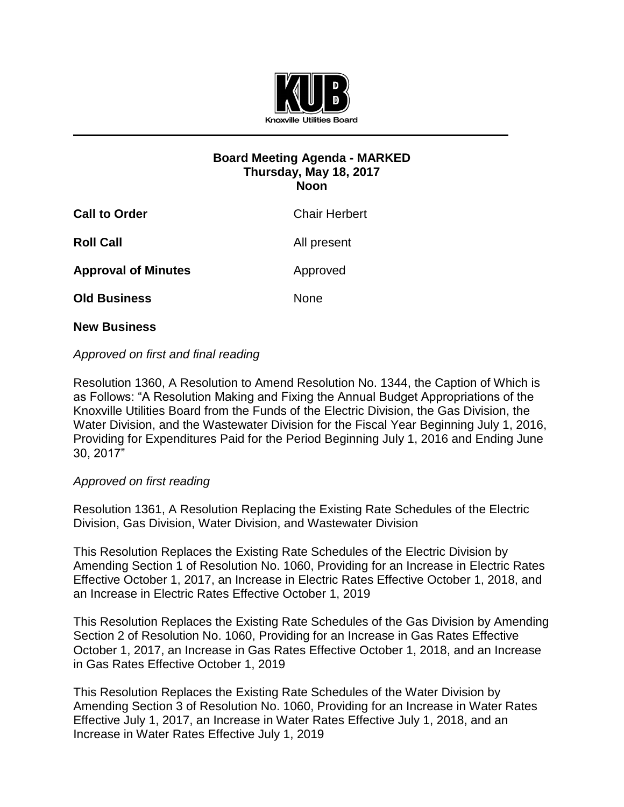

# **Board Meeting Agenda - MARKED Thursday, May 18, 2017 Noon**

| <b>Call to Order</b>       | <b>Chair Herbert</b> |
|----------------------------|----------------------|
| <b>Roll Call</b>           | All present          |
| <b>Approval of Minutes</b> | Approved             |
| <b>Old Business</b>        | <b>None</b>          |
|                            |                      |

# **New Business**

# *Approved on first and final reading*

Resolution 1360, A Resolution to Amend Resolution No. 1344, the Caption of Which is as Follows: "A Resolution Making and Fixing the Annual Budget Appropriations of the Knoxville Utilities Board from the Funds of the Electric Division, the Gas Division, the Water Division, and the Wastewater Division for the Fiscal Year Beginning July 1, 2016, Providing for Expenditures Paid for the Period Beginning July 1, 2016 and Ending June 30, 2017"

#### *Approved on first reading*

Resolution 1361, A Resolution Replacing the Existing Rate Schedules of the Electric Division, Gas Division, Water Division, and Wastewater Division

This Resolution Replaces the Existing Rate Schedules of the Electric Division by Amending Section 1 of Resolution No. 1060, Providing for an Increase in Electric Rates Effective October 1, 2017, an Increase in Electric Rates Effective October 1, 2018, and an Increase in Electric Rates Effective October 1, 2019

This Resolution Replaces the Existing Rate Schedules of the Gas Division by Amending Section 2 of Resolution No. 1060, Providing for an Increase in Gas Rates Effective October 1, 2017, an Increase in Gas Rates Effective October 1, 2018, and an Increase in Gas Rates Effective October 1, 2019

This Resolution Replaces the Existing Rate Schedules of the Water Division by Amending Section 3 of Resolution No. 1060, Providing for an Increase in Water Rates Effective July 1, 2017, an Increase in Water Rates Effective July 1, 2018, and an Increase in Water Rates Effective July 1, 2019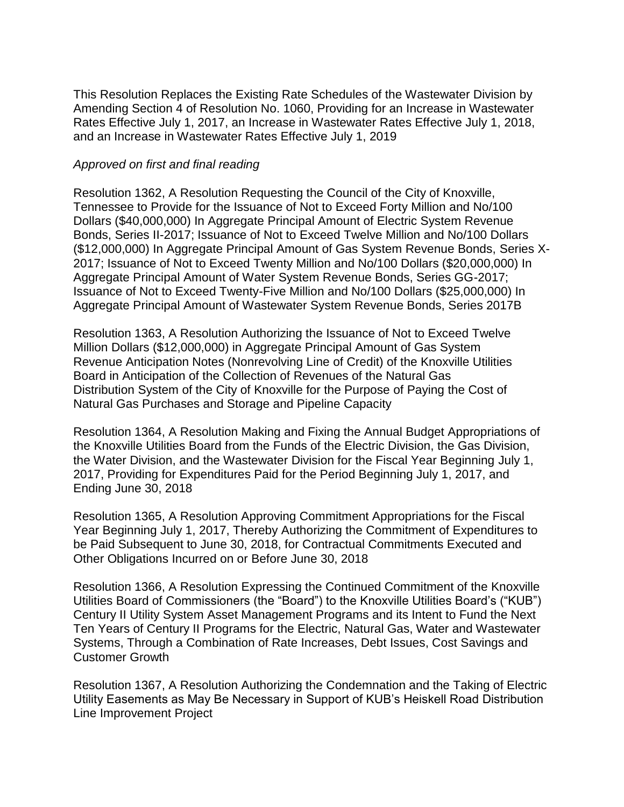This Resolution Replaces the Existing Rate Schedules of the Wastewater Division by Amending Section 4 of Resolution No. 1060, Providing for an Increase in Wastewater Rates Effective July 1, 2017, an Increase in Wastewater Rates Effective July 1, 2018, and an Increase in Wastewater Rates Effective July 1, 2019

#### *Approved on first and final reading*

Resolution 1362, A Resolution Requesting the Council of the City of Knoxville, Tennessee to Provide for the Issuance of Not to Exceed Forty Million and No/100 Dollars (\$40,000,000) In Aggregate Principal Amount of Electric System Revenue Bonds, Series II-2017; Issuance of Not to Exceed Twelve Million and No/100 Dollars (\$12,000,000) In Aggregate Principal Amount of Gas System Revenue Bonds, Series X-2017; Issuance of Not to Exceed Twenty Million and No/100 Dollars (\$20,000,000) In Aggregate Principal Amount of Water System Revenue Bonds, Series GG-2017; Issuance of Not to Exceed Twenty-Five Million and No/100 Dollars (\$25,000,000) In Aggregate Principal Amount of Wastewater System Revenue Bonds, Series 2017B

Resolution 1363, A Resolution Authorizing the Issuance of Not to Exceed Twelve Million Dollars (\$12,000,000) in Aggregate Principal Amount of Gas System Revenue Anticipation Notes (Nonrevolving Line of Credit) of the Knoxville Utilities Board in Anticipation of the Collection of Revenues of the Natural Gas Distribution System of the City of Knoxville for the Purpose of Paying the Cost of Natural Gas Purchases and Storage and Pipeline Capacity

Resolution 1364, A Resolution Making and Fixing the Annual Budget Appropriations of the Knoxville Utilities Board from the Funds of the Electric Division, the Gas Division, the Water Division, and the Wastewater Division for the Fiscal Year Beginning July 1, 2017, Providing for Expenditures Paid for the Period Beginning July 1, 2017, and Ending June 30, 2018

Resolution 1365, A Resolution Approving Commitment Appropriations for the Fiscal Year Beginning July 1, 2017, Thereby Authorizing the Commitment of Expenditures to be Paid Subsequent to June 30, 2018, for Contractual Commitments Executed and Other Obligations Incurred on or Before June 30, 2018

Resolution 1366, A Resolution Expressing the Continued Commitment of the Knoxville Utilities Board of Commissioners (the "Board") to the Knoxville Utilities Board's ("KUB") Century II Utility System Asset Management Programs and its Intent to Fund the Next Ten Years of Century II Programs for the Electric, Natural Gas, Water and Wastewater Systems, Through a Combination of Rate Increases, Debt Issues, Cost Savings and Customer Growth

Resolution 1367, A Resolution Authorizing the Condemnation and the Taking of Electric Utility Easements as May Be Necessary in Support of KUB's Heiskell Road Distribution Line Improvement Project